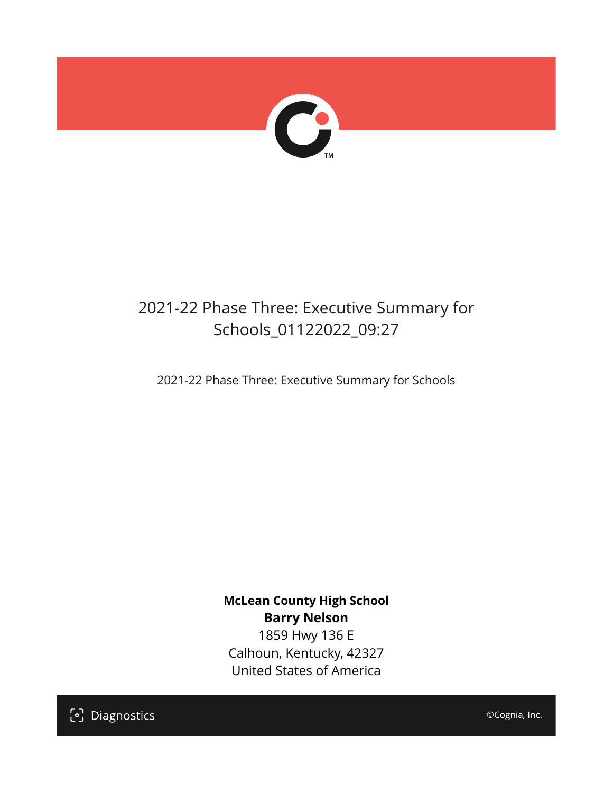

## 2021-22 Phase Three: Executive Summary for Schools\_01122022\_09:27

2021-22 Phase Three: Executive Summary for Schools

**McLean County High School Barry Nelson** 1859 Hwy 136 E Calhoun, Kentucky, 42327 United States of America

[၁] Diagnostics

©Cognia, Inc.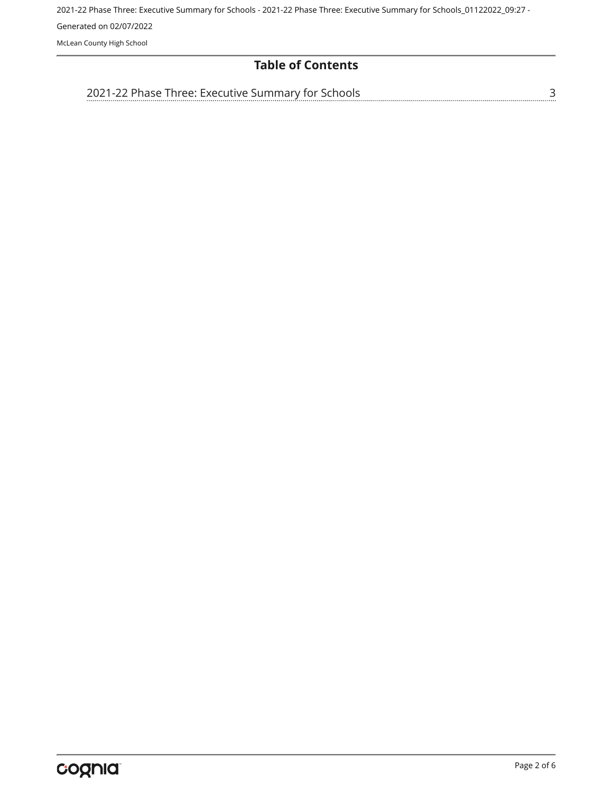#### **Table of Contents**

[3](#page-2-0) [2021-22 Phase Three: Executive Summary for Schools](#page-2-0)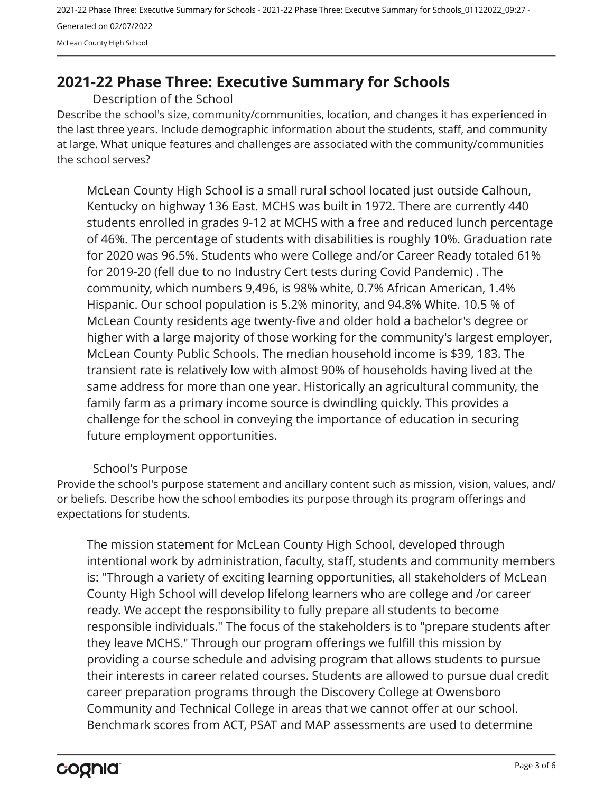### <span id="page-2-0"></span>**2021-22 Phase Three: Executive Summary for Schools**

Description of the School

Describe the school's size, community/communities, location, and changes it has experienced in the last three years. Include demographic information about the students, staff, and community at large. What unique features and challenges are associated with the community/communities the school serves?

McLean County High School is a small rural school located just outside Calhoun, Kentucky on highway 136 East. MCHS was built in 1972. There are currently 440 students enrolled in grades 9-12 at MCHS with a free and reduced lunch percentage of 46%. The percentage of students with disabilities is roughly 10%. Graduation rate for 2020 was 96.5%. Students who were College and/or Career Ready totaled 61% for 2019-20 (fell due to no Industry Cert tests during Covid Pandemic) . The community, which numbers 9,496, is 98% white, 0.7% African American, 1.4% Hispanic. Our school population is 5.2% minority, and 94.8% White. 10.5 % of McLean County residents age twenty-five and older hold a bachelor's degree or higher with a large majority of those working for the community's largest employer, McLean County Public Schools. The median household income is \$39, 183. The transient rate is relatively low with almost 90% of households having lived at the same address for more than one year. Historically an agricultural community, the family farm as a primary income source is dwindling quickly. This provides a challenge for the school in conveying the importance of education in securing future employment opportunities.

#### School's Purpose

Provide the school's purpose statement and ancillary content such as mission, vision, values, and/ or beliefs. Describe how the school embodies its purpose through its program offerings and expectations for students.

The mission statement for McLean County High School, developed through intentional work by administration, faculty, staff, students and community members is: "Through a variety of exciting learning opportunities, all stakeholders of McLean County High School will develop lifelong learners who are college and /or career ready. We accept the responsibility to fully prepare all students to become responsible individuals." The focus of the stakeholders is to "prepare students after they leave MCHS." Through our program offerings we fulfill this mission by providing a course schedule and advising program that allows students to pursue their interests in career related courses. Students are allowed to pursue dual credit career preparation programs through the Discovery College at Owensboro Community and Technical College in areas that we cannot offer at our school. Benchmark scores from ACT, PSAT and MAP assessments are used to determine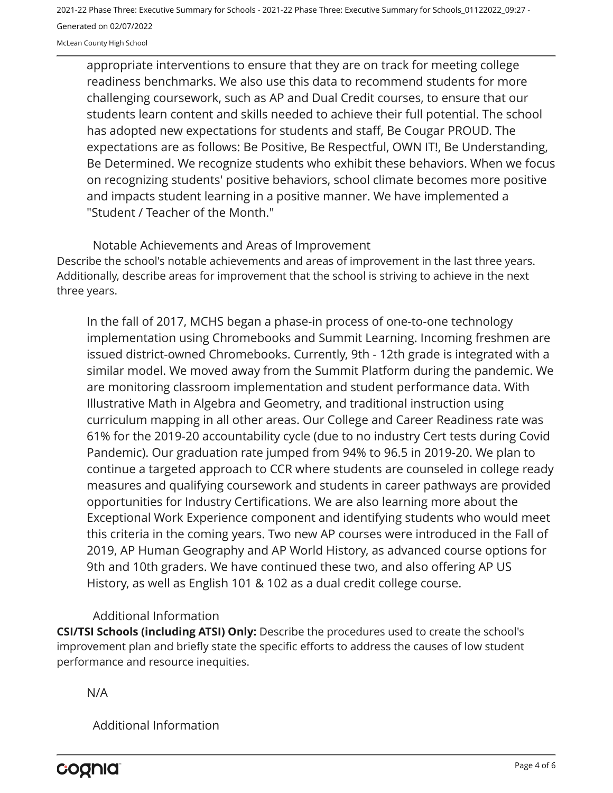appropriate interventions to ensure that they are on track for meeting college readiness benchmarks. We also use this data to recommend students for more challenging coursework, such as AP and Dual Credit courses, to ensure that our students learn content and skills needed to achieve their full potential. The school has adopted new expectations for students and staff, Be Cougar PROUD. The expectations are as follows: Be Positive, Be Respectful, OWN IT!, Be Understanding, Be Determined. We recognize students who exhibit these behaviors. When we focus on recognizing students' positive behaviors, school climate becomes more positive and impacts student learning in a positive manner. We have implemented a "Student / Teacher of the Month."

Describe the school's notable achievements and areas of improvement in the last three years. Additionally, describe areas for improvement that the school is striving to achieve in the next three years. Notable Achievements and Areas of Improvement

In the fall of 2017, MCHS began a phase-in process of one-to-one technology implementation using Chromebooks and Summit Learning. Incoming freshmen are issued district-owned Chromebooks. Currently, 9th - 12th grade is integrated with a similar model. We moved away from the Summit Platform during the pandemic. We are monitoring classroom implementation and student performance data. With Illustrative Math in Algebra and Geometry, and traditional instruction using curriculum mapping in all other areas. Our College and Career Readiness rate was 61% for the 2019-20 accountability cycle (due to no industry Cert tests during Covid Pandemic). Our graduation rate jumped from 94% to 96.5 in 2019-20. We plan to continue a targeted approach to CCR where students are counseled in college ready measures and qualifying coursework and students in career pathways are provided opportunities for Industry Certifications. We are also learning more about the Exceptional Work Experience component and identifying students who would meet this criteria in the coming years. Two new AP courses were introduced in the Fall of 2019, AP Human Geography and AP World History, as advanced course options for 9th and 10th graders. We have continued these two, and also offering AP US History, as well as English 101 & 102 as a dual credit college course.

#### Additional Information

**CSI/TSI Schools (including ATSI) Only:** Describe the procedures used to create the school's improvement plan and briefly state the specific efforts to address the causes of low student performance and resource inequities.

N/A

Additional Information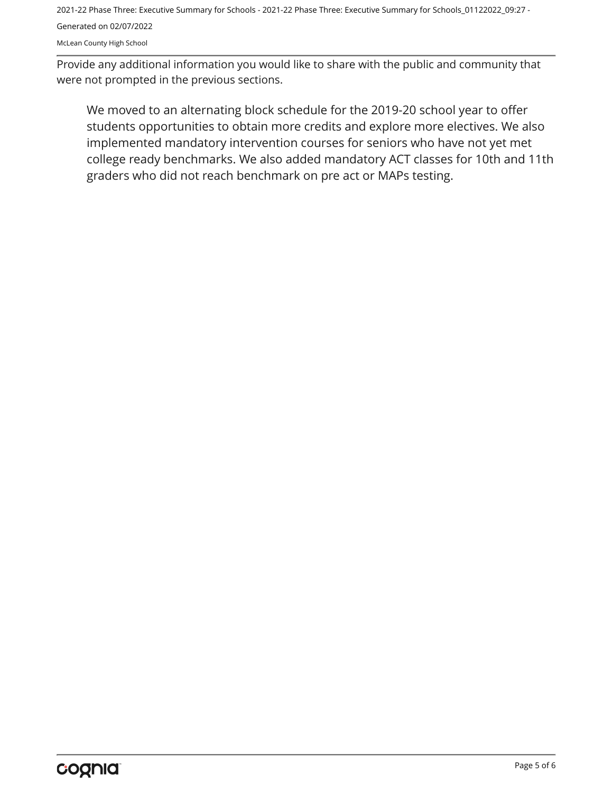McLean County High School

Provide any additional information you would like to share with the public and community that were not prompted in the previous sections.

We moved to an alternating block schedule for the 2019-20 school year to offer students opportunities to obtain more credits and explore more electives. We also implemented mandatory intervention courses for seniors who have not yet met college ready benchmarks. We also added mandatory ACT classes for 10th and 11th graders who did not reach benchmark on pre act or MAPs testing.